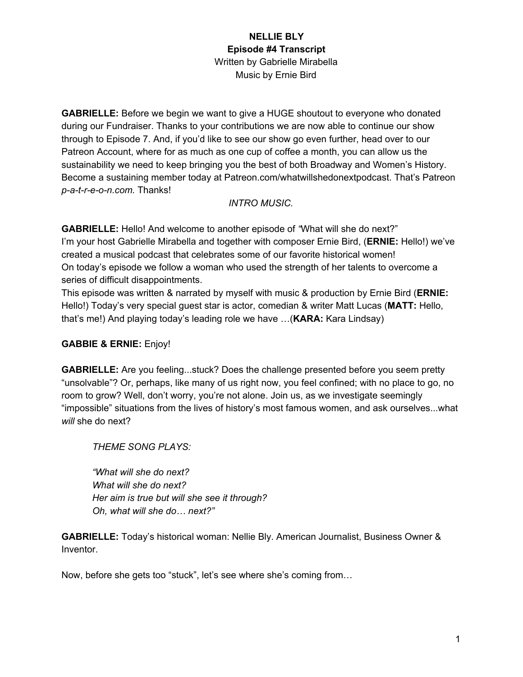**GABRIELLE:** Before we begin we want to give a HUGE shoutout to everyone who donated during our Fundraiser. Thanks to your contributions we are now able to continue our show through to Episode 7. And, if you'd like to see our show go even further, head over to our Patreon Account, where for as much as one cup of coffee a month, you can allow us the sustainability we need to keep bringing you the best of both Broadway and Women's History. Become a sustaining member today at Patreon.com/whatwillshedonextpodcast. That's Patreon *p-a-t-r-e-o-n.com.* Thanks!

### *INTRO MUSIC.*

**GABRIELLE:** Hello! And welcome to another episode of *"*What will she do next?" I'm your host Gabrielle Mirabella and together with composer Ernie Bird, (**ERNIE:** Hello!) we've created a musical podcast that celebrates some of our favorite historical women! On today's episode we follow a woman who used the strength of her talents to overcome a series of difficult disappointments.

This episode was written & narrated by myself with music & production by Ernie Bird (**ERNIE:** Hello!) Today's very special guest star is actor, comedian & writer Matt Lucas (**MATT:** Hello, that's me!) And playing today's leading role we have …(**KARA:** Kara Lindsay)

### **GABBIE & ERNIE:** Enjoy!

**GABRIELLE:** Are you feeling...stuck? Does the challenge presented before you seem pretty "unsolvable"? Or, perhaps, like many of us right now, you feel confined; with no place to go, no room to grow? Well, don't worry, you're not alone. Join us, as we investigate seemingly "impossible" situations from the lives of history's most famous women, and ask ourselves...what *will* she do next?

*THEME SONG PLAYS:*

*"What will she do next? What will she do next? Her aim is true but will she see it through? Oh, what will she do… next?"*

**GABRIELLE:** Today's historical woman: Nellie Bly. American Journalist, Business Owner & Inventor.

Now, before she gets too "stuck", let's see where she's coming from…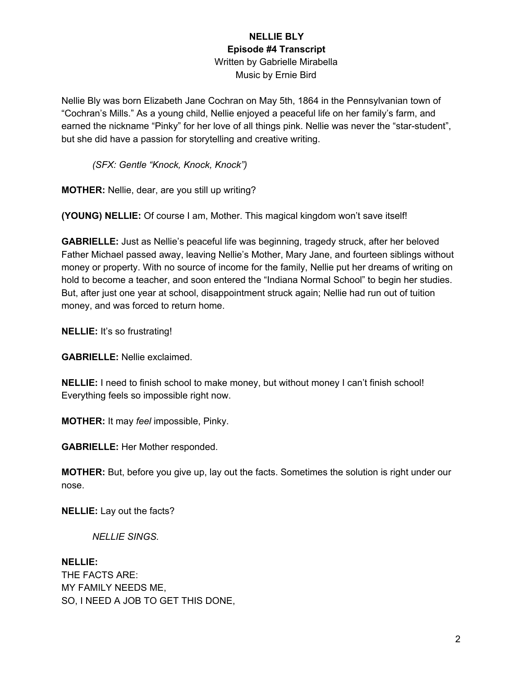Nellie Bly was born Elizabeth Jane Cochran on May 5th, 1864 in the Pennsylvanian town of "Cochran's Mills." As a young child, Nellie enjoyed a peaceful life on her family's farm, and earned the nickname "Pinky" for her love of all things pink. Nellie was never the "star-student", but she did have a passion for storytelling and creative writing.

*(SFX: Gentle "Knock, Knock, Knock")*

**MOTHER:** Nellie, dear, are you still up writing?

**(YOUNG) NELLIE:** Of course I am, Mother. This magical kingdom won't save itself!

**GABRIELLE:** Just as Nellie's peaceful life was beginning, tragedy struck, after her beloved Father Michael passed away, leaving Nellie's Mother, Mary Jane, and fourteen siblings without money or property. With no source of income for the family, Nellie put her dreams of writing on hold to become a teacher, and soon entered the "Indiana Normal School" to begin her studies. But, after just one year at school, disappointment struck again; Nellie had run out of tuition money, and was forced to return home.

**NELLIE:** It's so frustrating!

**GABRIELLE:** Nellie exclaimed.

**NELLIE:** I need to finish school to make money, but without money I can't finish school! Everything feels so impossible right now.

**MOTHER:** It may *feel* impossible, Pinky.

**GABRIELLE:** Her Mother responded.

**MOTHER:** But, before you give up, lay out the facts. Sometimes the solution is right under our nose.

**NELLIE:** Lay out the facts?

*NELLIE SINGS.*

**NELLIE:** THE FACTS ARE: MY FAMILY NEEDS ME, SO, I NEED A JOB TO GET THIS DONE,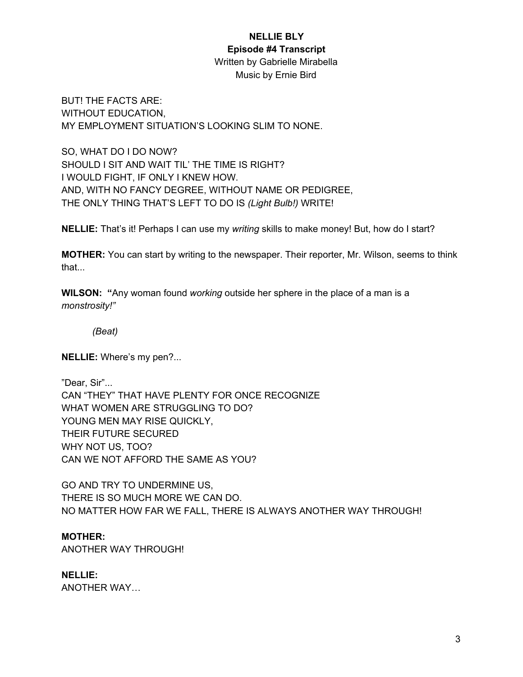## **NELLIE BLY**

### **Episode #4 Transcript**

Written by Gabrielle Mirabella Music by Ernie Bird

BUT! THE FACTS ARE: WITHOUT EDUCATION, MY EMPLOYMENT SITUATION'S LOOKING SLIM TO NONE.

SO, WHAT DO I DO NOW? SHOULD I SIT AND WAIT TIL' THE TIME IS RIGHT? I WOULD FIGHT, IF ONLY I KNEW HOW. AND, WITH NO FANCY DEGREE, WITHOUT NAME OR PEDIGREE, THE ONLY THING THAT'S LEFT TO DO IS *(Light Bulb!)* WRITE!

**NELLIE:** That's it! Perhaps I can use my *writing* skills to make money! But, how do I start?

**MOTHER:** You can start by writing to the newspaper. Their reporter, Mr. Wilson, seems to think that...

**WILSON: "**Any woman found *working* outside her sphere in the place of a man is a *monstrosity!"*

*(Beat)*

**NELLIE:** Where's my pen?...

"Dear, Sir"... CAN "THEY" THAT HAVE PLENTY FOR ONCE RECOGNIZE WHAT WOMEN ARE STRUGGLING TO DO? YOUNG MEN MAY RISE QUICKLY, THEIR FUTURE SECURED WHY NOT US, TOO? CAN WE NOT AFFORD THE SAME AS YOU?

GO AND TRY TO UNDERMINE US, THERE IS SO MUCH MORE WE CAN DO. NO MATTER HOW FAR WE FALL, THERE IS ALWAYS ANOTHER WAY THROUGH!

# **MOTHER:**

ANOTHER WAY THROUGH!

# **NELLIE:**

ANOTHER WAY…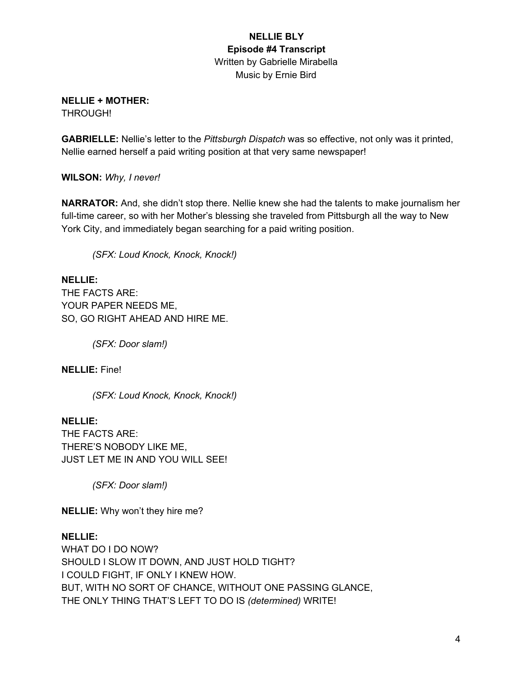# **NELLIE + MOTHER:**

THROUGH!

**GABRIELLE:** Nellie's letter to the *Pittsburgh Dispatch* was so effective, not only was it printed, Nellie earned herself a paid writing position at that very same newspaper!

**WILSON:** *Why, I never!*

**NARRATOR:** And, she didn't stop there. Nellie knew she had the talents to make journalism her full-time career, so with her Mother's blessing she traveled from Pittsburgh all the way to New York City, and immediately began searching for a paid writing position.

*(SFX: Loud Knock, Knock, Knock!)*

**NELLIE:** THE FACTS ARE: YOUR PAPER NEEDS ME, SO, GO RIGHT AHEAD AND HIRE ME.

*(SFX: Door slam!)*

**NELLIE:** Fine!

*(SFX: Loud Knock, Knock, Knock!)*

**NELLIE:** THE FACTS ARE: THERE'S NOBODY LIKE ME, JUST LET ME IN AND YOU WILL SEE!

*(SFX: Door slam!)*

**NELLIE:** Why won't they hire me?

### **NELLIE:**

WHAT DO I DO NOW? SHOULD I SLOW IT DOWN, AND JUST HOLD TIGHT? I COULD FIGHT, IF ONLY I KNEW HOW. BUT, WITH NO SORT OF CHANCE, WITHOUT ONE PASSING GLANCE, THE ONLY THING THAT'S LEFT TO DO IS *(determined)* WRITE!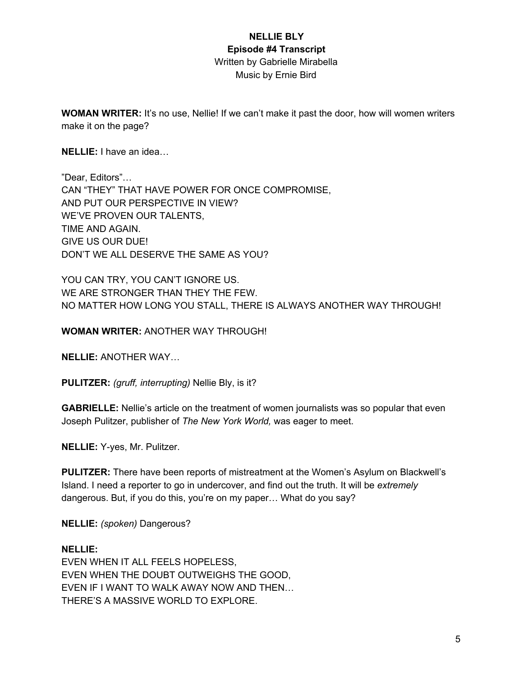**WOMAN WRITER:** It's no use, Nellie! If we can't make it past the door, how will women writers make it on the page?

**NELLIE:** I have an idea…

"Dear, Editors"… CAN "THEY" THAT HAVE POWER FOR ONCE COMPROMISE, AND PUT OUR PERSPECTIVE IN VIEW? WE'VE PROVEN OUR TALENTS, TIME AND AGAIN. GIVE US OUR DUE! DON'T WE ALL DESERVE THE SAME AS YOU?

YOU CAN TRY, YOU CAN'T IGNORE US. WE ARE STRONGER THAN THEY THE FEW. NO MATTER HOW LONG YOU STALL, THERE IS ALWAYS ANOTHER WAY THROUGH!

**WOMAN WRITER:** ANOTHER WAY THROUGH!

**NELLIE:** ANOTHER WAY…

**PULITZER:** *(gruff, interrupting)* Nellie Bly, is it?

**GABRIELLE:** Nellie's article on the treatment of women journalists was so popular that even Joseph Pulitzer, publisher of *The New York World,* was eager to meet.

**NELLIE:** Y-yes, Mr. Pulitzer.

**PULITZER:** There have been reports of mistreatment at the Women's Asylum on Blackwell's Island. I need a reporter to go in undercover, and find out the truth. It will be *extremely* dangerous. But, if you do this, you're on my paper… What do you say?

**NELLIE:** *(spoken)* Dangerous?

#### **NELLIE:**

EVEN WHEN IT ALL FEELS HOPELESS, EVEN WHEN THE DOUBT OUTWEIGHS THE GOOD, EVEN IF I WANT TO WALK AWAY NOW AND THEN… THERE'S A MASSIVE WORLD TO EXPLORE.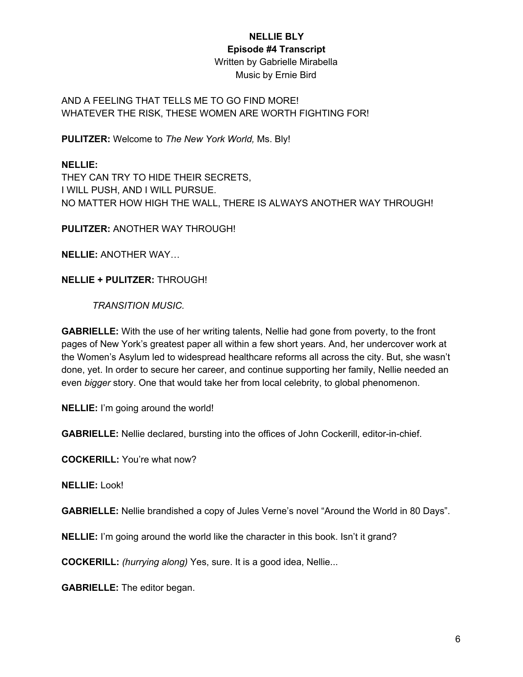# **NELLIE BLY**

#### **Episode #4 Transcript**

Written by Gabrielle Mirabella Music by Ernie Bird

### AND A FEELING THAT TELLS ME TO GO FIND MORE! WHATEVER THE RISK, THESE WOMEN ARE WORTH FIGHTING FOR!

**PULITZER:** Welcome to *The New York World,* Ms. Bly!

## **NELLIE:**

THEY CAN TRY TO HIDE THEIR SECRETS, I WILL PUSH, AND I WILL PURSUE. NO MATTER HOW HIGH THE WALL, THERE IS ALWAYS ANOTHER WAY THROUGH!

**PULITZER:** ANOTHER WAY THROUGH!

**NELLIE:** ANOTHER WAY…

**NELLIE + PULITZER:** THROUGH!

*TRANSITION MUSIC.*

**GABRIELLE:** With the use of her writing talents, Nellie had gone from poverty, to the front pages of New York's greatest paper all within a few short years. And, her undercover work at the Women's Asylum led to widespread healthcare reforms all across the city. But, she wasn't done, yet. In order to secure her career, and continue supporting her family, Nellie needed an even *bigger* story. One that would take her from local celebrity, to global phenomenon.

**NELLIE:** I'm going around the world!

**GABRIELLE:** Nellie declared, bursting into the offices of John Cockerill, editor-in-chief.

**COCKERILL:** You're what now?

**NELLIE:** Look!

**GABRIELLE:** Nellie brandished a copy of Jules Verne's novel "Around the World in 80 Days".

**NELLIE:** I'm going around the world like the character in this book. Isn't it grand?

**COCKERILL:** *(hurrying along)* Yes, sure. It is a good idea, Nellie...

**GABRIELLE:** The editor began.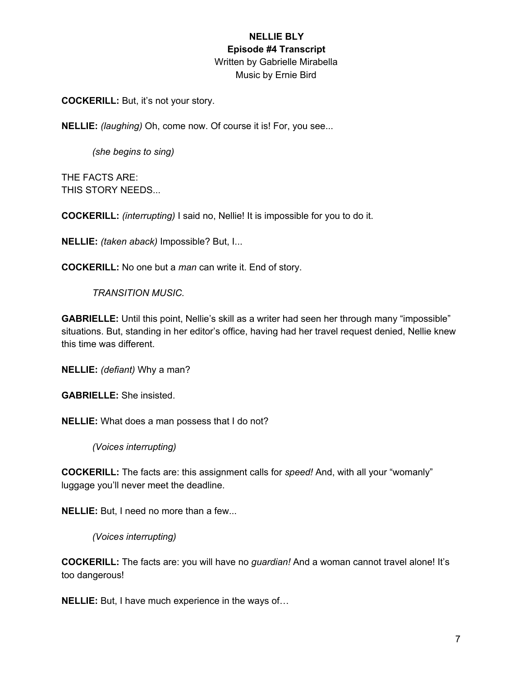**COCKERILL:** But, it's not your story.

**NELLIE:** *(laughing)* Oh, come now. Of course it is! For, you see...

*(she begins to sing)*

THE FACTS ARE: THIS STORY NEEDS...

**COCKERILL:** *(interrupting)* I said no, Nellie! It is impossible for you to do it.

**NELLIE:** *(taken aback)* Impossible? But, I...

**COCKERILL:** No one but a *man* can write it. End of story.

*TRANSITION MUSIC.*

**GABRIELLE:** Until this point, Nellie's skill as a writer had seen her through many "impossible" situations. But, standing in her editor's office, having had her travel request denied, Nellie knew this time was different.

**NELLIE:** *(defiant)* Why a man?

**GABRIELLE:** She insisted.

**NELLIE:** What does a man possess that I do not?

*(Voices interrupting)*

**COCKERILL:** The facts are: this assignment calls for *speed!* And, with all your "womanly" luggage you'll never meet the deadline.

**NELLIE:** But, I need no more than a few...

*(Voices interrupting)*

**COCKERILL:** The facts are: you will have no *guardian!* And a woman cannot travel alone! It's too dangerous!

**NELLIE:** But, I have much experience in the ways of…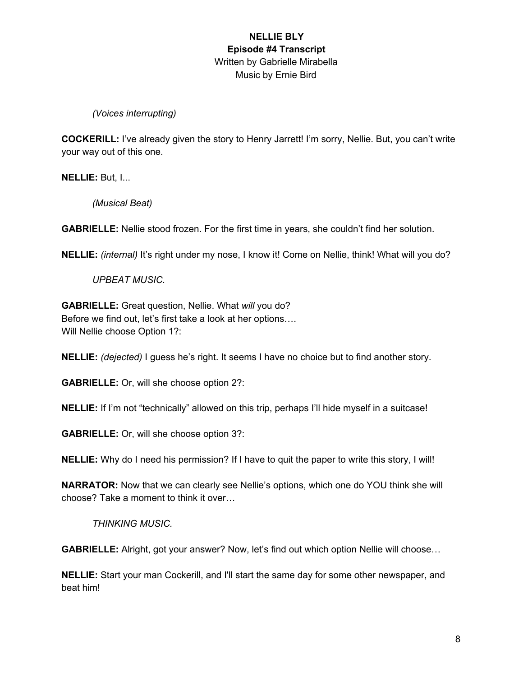### *(Voices interrupting)*

**COCKERILL:** I've already given the story to Henry Jarrett! I'm sorry, Nellie. But, you can't write your way out of this one.

**NELLIE:** But, I...

*(Musical Beat)*

**GABRIELLE:** Nellie stood frozen. For the first time in years, she couldn't find her solution.

**NELLIE:** *(internal)* It's right under my nose, I know it! Come on Nellie, think! What will you do?

*UPBEAT MUSIC.*

**GABRIELLE:** Great question, Nellie. What *will* you do? Before we find out, let's first take a look at her options…. Will Nellie choose Option 1?:

**NELLIE:** *(dejected)* I guess he's right. It seems I have no choice but to find another story.

**GABRIELLE:** Or, will she choose option 2?:

**NELLIE:** If I'm not "technically" allowed on this trip, perhaps I'll hide myself in a suitcase!

**GABRIELLE:** Or, will she choose option 3?:

**NELLIE:** Why do I need his permission? If I have to quit the paper to write this story, I will!

**NARRATOR:** Now that we can clearly see Nellie's options, which one do YOU think she will choose? Take a moment to think it over…

*THINKING MUSIC.*

**GABRIELLE:** Alright, got your answer? Now, let's find out which option Nellie will choose…

**NELLIE:** Start your man Cockerill, and I'll start the same day for some other newspaper, and beat him!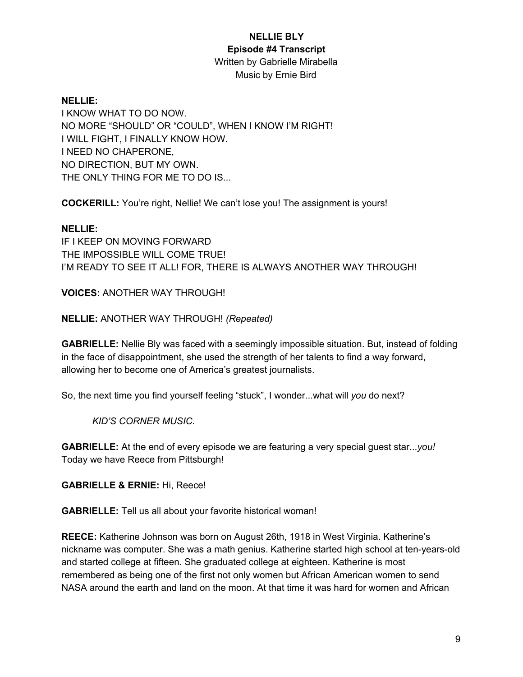### **NELLIE BLY**

### **Episode #4 Transcript**

Written by Gabrielle Mirabella Music by Ernie Bird

### **NELLIE:**

I KNOW WHAT TO DO NOW. NO MORE "SHOULD" OR "COULD", WHEN I KNOW I'M RIGHT! I WILL FIGHT, I FINALLY KNOW HOW. I NEED NO CHAPERONE, NO DIRECTION, BUT MY OWN. THE ONLY THING FOR ME TO DO IS...

**COCKERILL:** You're right, Nellie! We can't lose you! The assignment is yours!

### **NELLIE:**

IF I KEEP ON MOVING FORWARD THE IMPOSSIBLE WILL COME TRUE! I'M READY TO SEE IT ALL! FOR, THERE IS ALWAYS ANOTHER WAY THROUGH!

**VOICES:** ANOTHER WAY THROUGH!

**NELLIE:** ANOTHER WAY THROUGH! *(Repeated)*

**GABRIELLE:** Nellie Bly was faced with a seemingly impossible situation. But, instead of folding in the face of disappointment, she used the strength of her talents to find a way forward, allowing her to become one of America's greatest journalists.

So, the next time you find yourself feeling "stuck", I wonder...what will *you* do next?

*KID'S CORNER MUSIC.*

**GABRIELLE:** At the end of every episode we are featuring a very special guest star...*you!* Today we have Reece from Pittsburgh!

**GABRIELLE & ERNIE:** Hi, Reece!

**GABRIELLE:** Tell us all about your favorite historical woman!

**REECE:** Katherine Johnson was born on August 26th, 1918 in West Virginia. Katherine's nickname was computer. She was a math genius. Katherine started high school at ten-years-old and started college at fifteen. She graduated college at eighteen. Katherine is most remembered as being one of the first not only women but African American women to send NASA around the earth and land on the moon. At that time it was hard for women and African